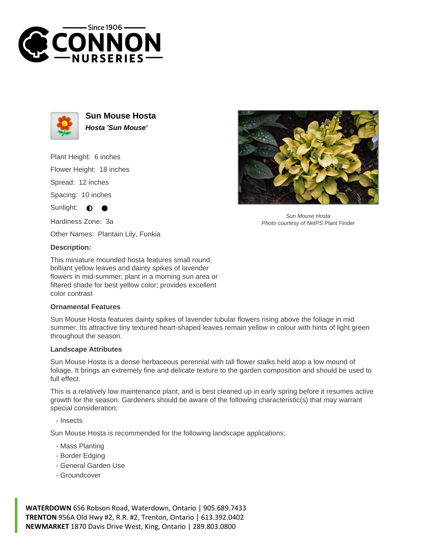



**Sun Mouse Hosta Hosta 'Sun Mouse'**

Plant Height: 6 inches Flower Height: 18 inches

Spread: 12 inches

Spacing: 10 inches

Sunlight:  $\bullet$ 

Hardiness Zone: 3a

Other Names: Plantain Lily, Funkia

## **Description:**

This miniature mounded hosta features small round, brilliant yellow leaves and dainty spikes of lavender flowers in mid-summer; plant in a morning sun area or filtered shade for best yellow color; provides excellent color contrast

## **Ornamental Features**

Sun Mouse Hosta features dainty spikes of lavender tubular flowers rising above the foliage in mid summer. Its attractive tiny textured heart-shaped leaves remain yellow in colour with hints of light green throughout the season.

## **Landscape Attributes**

Sun Mouse Hosta is a dense herbaceous perennial with tall flower stalks held atop a low mound of foliage. It brings an extremely fine and delicate texture to the garden composition and should be used to full effect.

This is a relatively low maintenance plant, and is best cleaned up in early spring before it resumes active growth for the season. Gardeners should be aware of the following characteristic(s) that may warrant special consideration;

- Insects

Sun Mouse Hosta is recommended for the following landscape applications;

- Mass Planting
- Border Edging
- General Garden Use
- Groundcover

**WATERDOWN** 656 Robson Road, Waterdown, Ontario | 905.689.7433 **TRENTON** 956A Old Hwy #2, R.R. #2, Trenton, Ontario | 613.392.0402 **NEWMARKET** 1870 Davis Drive West, King, Ontario | 289.803.0800



Sun Mouse Hosta Photo courtesy of NetPS Plant Finder